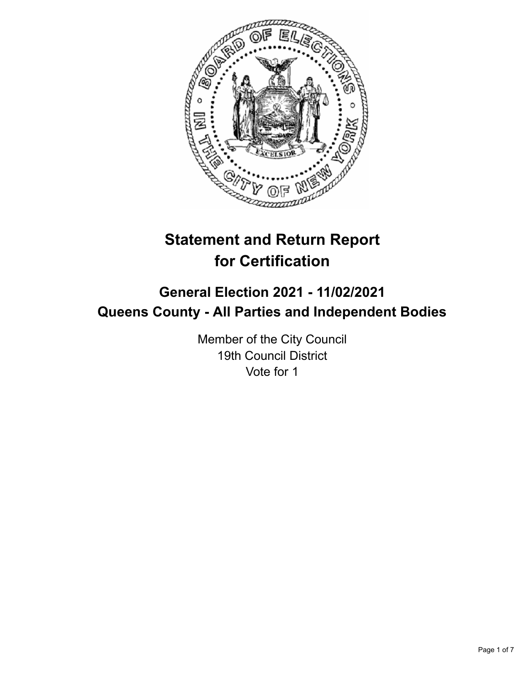

# **Statement and Return Report for Certification**

# **General Election 2021 - 11/02/2021 Queens County - All Parties and Independent Bodies**

Member of the City Council 19th Council District Vote for 1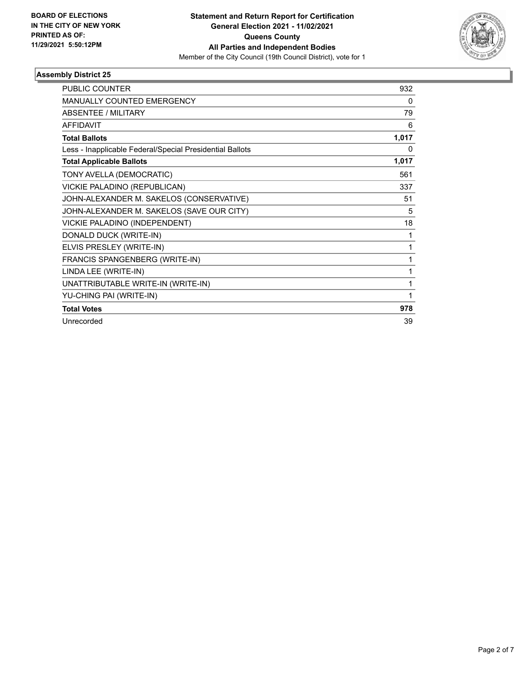

| <b>PUBLIC COUNTER</b>                                    | 932   |
|----------------------------------------------------------|-------|
| <b>MANUALLY COUNTED EMERGENCY</b>                        | 0     |
| ABSENTEE / MILITARY                                      | 79    |
| <b>AFFIDAVIT</b>                                         | 6     |
| <b>Total Ballots</b>                                     | 1,017 |
| Less - Inapplicable Federal/Special Presidential Ballots | 0     |
| <b>Total Applicable Ballots</b>                          | 1,017 |
| TONY AVELLA (DEMOCRATIC)                                 | 561   |
| VICKIE PALADINO (REPUBLICAN)                             | 337   |
| JOHN-ALEXANDER M. SAKELOS (CONSERVATIVE)                 | 51    |
| JOHN-ALEXANDER M. SAKELOS (SAVE OUR CITY)                | 5     |
| VICKIE PALADINO (INDEPENDENT)                            | 18    |
| DONALD DUCK (WRITE-IN)                                   | 1     |
| ELVIS PRESLEY (WRITE-IN)                                 | 1     |
| FRANCIS SPANGENBERG (WRITE-IN)                           | 1     |
| LINDA LEE (WRITE-IN)                                     | 1     |
| UNATTRIBUTABLE WRITE-IN (WRITE-IN)                       | 1     |
| YU-CHING PAI (WRITE-IN)                                  | 1     |
| <b>Total Votes</b>                                       | 978   |
| Unrecorded                                               | 39    |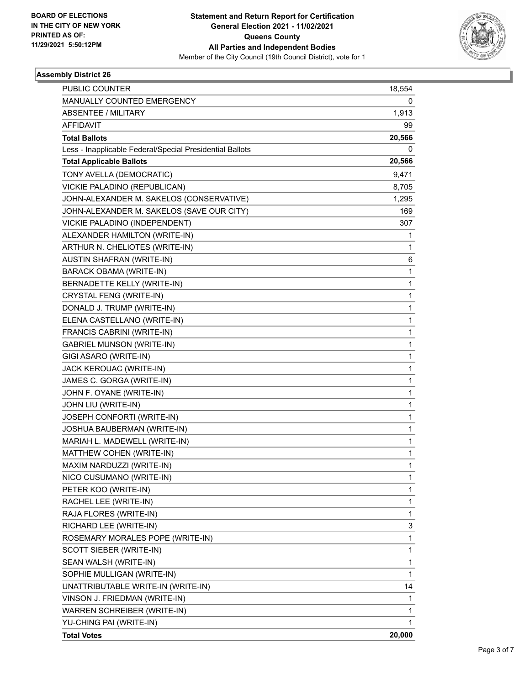

| PUBLIC COUNTER                                           | 18,554       |
|----------------------------------------------------------|--------------|
| MANUALLY COUNTED EMERGENCY                               | 0            |
| <b>ABSENTEE / MILITARY</b>                               | 1,913        |
| <b>AFFIDAVIT</b>                                         | 99           |
| <b>Total Ballots</b>                                     | 20,566       |
| Less - Inapplicable Federal/Special Presidential Ballots | 0            |
| <b>Total Applicable Ballots</b>                          | 20,566       |
| TONY AVELLA (DEMOCRATIC)                                 | 9,471        |
| VICKIE PALADINO (REPUBLICAN)                             | 8,705        |
| JOHN-ALEXANDER M. SAKELOS (CONSERVATIVE)                 | 1,295        |
| JOHN-ALEXANDER M. SAKELOS (SAVE OUR CITY)                | 169          |
| VICKIE PALADINO (INDEPENDENT)                            | 307          |
| ALEXANDER HAMILTON (WRITE-IN)                            | 1            |
| ARTHUR N. CHELIOTES (WRITE-IN)                           | $\mathbf{1}$ |
| <b>AUSTIN SHAFRAN (WRITE-IN)</b>                         | 6            |
| <b>BARACK OBAMA (WRITE-IN)</b>                           | 1            |
| BERNADETTE KELLY (WRITE-IN)                              | 1            |
| CRYSTAL FENG (WRITE-IN)                                  | 1            |
| DONALD J. TRUMP (WRITE-IN)                               | 1            |
| ELENA CASTELLANO (WRITE-IN)                              | 1            |
| FRANCIS CABRINI (WRITE-IN)                               | 1            |
| <b>GABRIEL MUNSON (WRITE-IN)</b>                         | 1            |
| GIGI ASARO (WRITE-IN)                                    | 1            |
| JACK KEROUAC (WRITE-IN)                                  | 1            |
| JAMES C. GORGA (WRITE-IN)                                | 1            |
| JOHN F. OYANE (WRITE-IN)                                 | 1            |
| JOHN LIU (WRITE-IN)                                      | 1            |
| JOSEPH CONFORTI (WRITE-IN)                               | 1            |
| JOSHUA BAUBERMAN (WRITE-IN)                              | 1            |
| MARIAH L. MADEWELL (WRITE-IN)                            | 1            |
| MATTHEW COHEN (WRITE-IN)                                 | 1            |
| MAXIM NARDUZZI (WRITE-IN)                                | 1            |
| NICO CUSUMANO (WRITE-IN)                                 | 1            |
| PETER KOO (WRITE-IN)                                     | 1            |
| RACHEL LEE (WRITE-IN)                                    | 1            |
| RAJA FLORES (WRITE-IN)                                   | 1            |
| RICHARD LEE (WRITE-IN)                                   | 3            |
| ROSEMARY MORALES POPE (WRITE-IN)                         | 1            |
| SCOTT SIEBER (WRITE-IN)                                  | 1            |
| SEAN WALSH (WRITE-IN)                                    | 1            |
| SOPHIE MULLIGAN (WRITE-IN)                               | 1            |
| UNATTRIBUTABLE WRITE-IN (WRITE-IN)                       | 14           |
| VINSON J. FRIEDMAN (WRITE-IN)                            | 1            |
| WARREN SCHREIBER (WRITE-IN)                              | 1            |
| YU-CHING PAI (WRITE-IN)                                  | 1            |
| <b>Total Votes</b>                                       | 20,000       |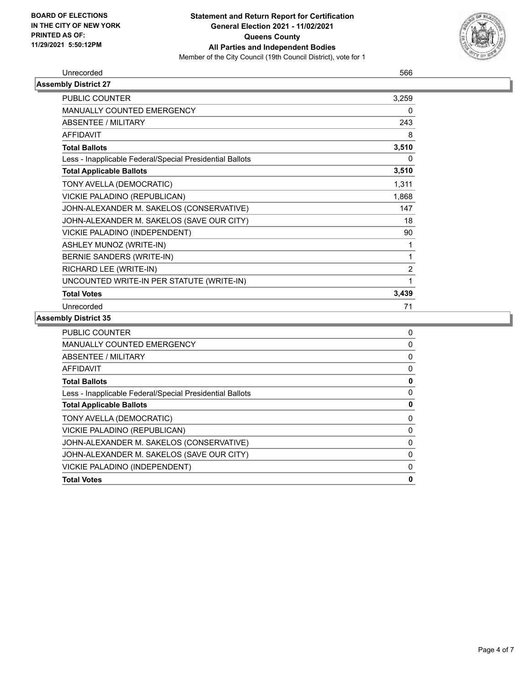

#### Unrecorded 566

| <b>Assembly District 27</b>                              |          |
|----------------------------------------------------------|----------|
| PUBLIC COUNTER                                           | 3,259    |
| <b>MANUALLY COUNTED EMERGENCY</b>                        | 0        |
| ABSENTEE / MILITARY                                      | 243      |
| AFFIDAVIT                                                | 8        |
| <b>Total Ballots</b>                                     | 3,510    |
| Less - Inapplicable Federal/Special Presidential Ballots | $\Omega$ |
| <b>Total Applicable Ballots</b>                          | 3,510    |
| TONY AVELLA (DEMOCRATIC)                                 | 1,311    |
| VICKIE PALADINO (REPUBLICAN)                             | 1,868    |
| JOHN-ALEXANDER M. SAKELOS (CONSERVATIVE)                 | 147      |
| JOHN-ALEXANDER M. SAKELOS (SAVE OUR CITY)                | 18       |
| VICKIE PALADINO (INDEPENDENT)                            | 90       |
| ASHLEY MUNOZ (WRITE-IN)                                  | 1        |
| BERNIE SANDERS (WRITE-IN)                                | 1        |
| RICHARD LEE (WRITE-IN)                                   | 2        |
| UNCOUNTED WRITE-IN PER STATUTE (WRITE-IN)                | 1        |
| <b>Total Votes</b>                                       | 3,439    |
| Unrecorded                                               | 71       |

| <b>PUBLIC COUNTER</b>                                    | 0 |
|----------------------------------------------------------|---|
| <b>MANUALLY COUNTED EMERGENCY</b>                        | 0 |
| ABSENTEE / MILITARY                                      | 0 |
| <b>AFFIDAVIT</b>                                         | 0 |
| <b>Total Ballots</b>                                     | 0 |
| Less - Inapplicable Federal/Special Presidential Ballots | 0 |
| <b>Total Applicable Ballots</b>                          | 0 |
| TONY AVELLA (DEMOCRATIC)                                 | 0 |
| VICKIE PALADINO (REPUBLICAN)                             | 0 |
| JOHN-ALEXANDER M. SAKELOS (CONSERVATIVE)                 | 0 |
| JOHN-ALEXANDER M. SAKELOS (SAVE OUR CITY)                | 0 |
| VICKIE PALADINO (INDEPENDENT)                            | 0 |
| <b>Total Votes</b>                                       | 0 |
|                                                          |   |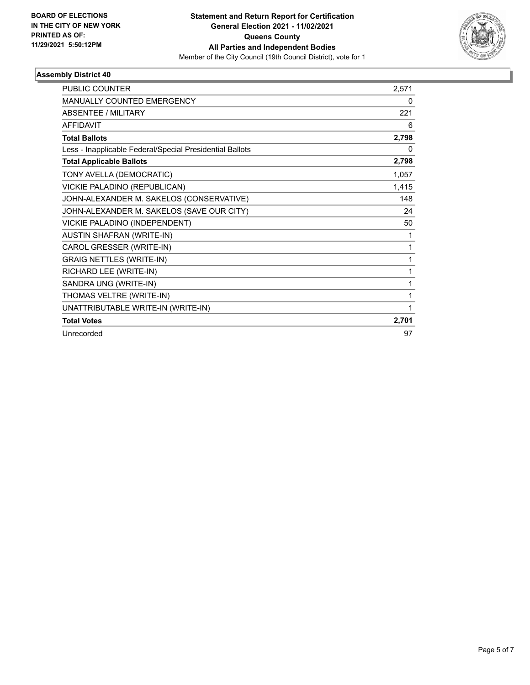

| <b>PUBLIC COUNTER</b>                                    | 2.571 |
|----------------------------------------------------------|-------|
| <b>MANUALLY COUNTED EMERGENCY</b>                        | 0     |
| <b>ABSENTEE / MILITARY</b>                               | 221   |
| <b>AFFIDAVIT</b>                                         | 6     |
| <b>Total Ballots</b>                                     | 2,798 |
| Less - Inapplicable Federal/Special Presidential Ballots | 0     |
| <b>Total Applicable Ballots</b>                          | 2,798 |
| TONY AVELLA (DEMOCRATIC)                                 | 1,057 |
| VICKIE PALADINO (REPUBLICAN)                             | 1,415 |
| JOHN-ALEXANDER M. SAKELOS (CONSERVATIVE)                 | 148   |
| JOHN-ALEXANDER M. SAKELOS (SAVE OUR CITY)                | 24    |
| VICKIE PALADINO (INDEPENDENT)                            | 50    |
| AUSTIN SHAFRAN (WRITE-IN)                                | 1     |
| CAROL GRESSER (WRITE-IN)                                 | 1     |
| <b>GRAIG NETTLES (WRITE-IN)</b>                          | 1     |
| RICHARD LEE (WRITE-IN)                                   | 1     |
| SANDRA UNG (WRITE-IN)                                    | 1     |
| THOMAS VELTRE (WRITE-IN)                                 | 1     |
| UNATTRIBUTABLE WRITE-IN (WRITE-IN)                       |       |
| <b>Total Votes</b>                                       | 2,701 |
| Unrecorded                                               | 97    |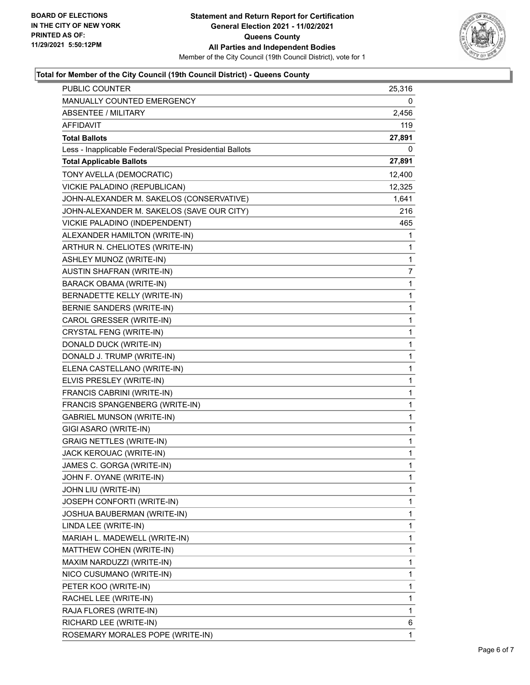

# **Total for Member of the City Council (19th Council District) - Queens County**

| PUBLIC COUNTER                                           | 25,316 |
|----------------------------------------------------------|--------|
| MANUALLY COUNTED EMERGENCY                               | 0      |
| ABSENTEE / MILITARY                                      | 2,456  |
| AFFIDAVIT                                                | 119    |
| <b>Total Ballots</b>                                     | 27,891 |
| Less - Inapplicable Federal/Special Presidential Ballots | 0      |
| <b>Total Applicable Ballots</b>                          | 27,891 |
| TONY AVELLA (DEMOCRATIC)                                 | 12,400 |
| VICKIE PALADINO (REPUBLICAN)                             | 12,325 |
| JOHN-ALEXANDER M. SAKELOS (CONSERVATIVE)                 | 1,641  |
| JOHN-ALEXANDER M. SAKELOS (SAVE OUR CITY)                | 216    |
| VICKIE PALADINO (INDEPENDENT)                            | 465    |
| ALEXANDER HAMILTON (WRITE-IN)                            | 1      |
| ARTHUR N. CHELIOTES (WRITE-IN)                           | 1      |
| ASHLEY MUNOZ (WRITE-IN)                                  | 1      |
| AUSTIN SHAFRAN (WRITE-IN)                                | 7      |
| BARACK OBAMA (WRITE-IN)                                  | 1      |
| BERNADETTE KELLY (WRITE-IN)                              | 1      |
| BERNIE SANDERS (WRITE-IN)                                | 1      |
| CAROL GRESSER (WRITE-IN)                                 | 1      |
| CRYSTAL FENG (WRITE-IN)                                  | 1      |
| DONALD DUCK (WRITE-IN)                                   | 1      |
| DONALD J. TRUMP (WRITE-IN)                               | 1      |
| ELENA CASTELLANO (WRITE-IN)                              | 1      |
| ELVIS PRESLEY (WRITE-IN)                                 | 1      |
| FRANCIS CABRINI (WRITE-IN)                               | 1      |
| FRANCIS SPANGENBERG (WRITE-IN)                           | 1      |
| <b>GABRIEL MUNSON (WRITE-IN)</b>                         | 1      |
| GIGI ASARO (WRITE-IN)                                    | 1      |
| <b>GRAIG NETTLES (WRITE-IN)</b>                          | 1      |
| JACK KEROUAC (WRITE-IN)                                  | 1      |
| JAMES C. GORGA (WRITE-IN)                                | 1      |
| JOHN F. OYANE (WRITE-IN)                                 | 1      |
| JOHN LIU (WRITE-IN)                                      | 1      |
| JOSEPH CONFORTI (WRITE-IN)                               | 1      |
| JOSHUA BAUBERMAN (WRITE-IN)                              | 1      |
| LINDA LEE (WRITE-IN)                                     | 1      |
| MARIAH L. MADEWELL (WRITE-IN)                            | 1      |
| MATTHEW COHEN (WRITE-IN)                                 | 1      |
| MAXIM NARDUZZI (WRITE-IN)                                | 1      |
| NICO CUSUMANO (WRITE-IN)                                 | 1      |
| PETER KOO (WRITE-IN)                                     | 1      |
| RACHEL LEE (WRITE-IN)                                    | 1      |
| RAJA FLORES (WRITE-IN)                                   | 1      |
| RICHARD LEE (WRITE-IN)                                   | 6      |
| ROSEMARY MORALES POPE (WRITE-IN)                         | 1      |
|                                                          |        |